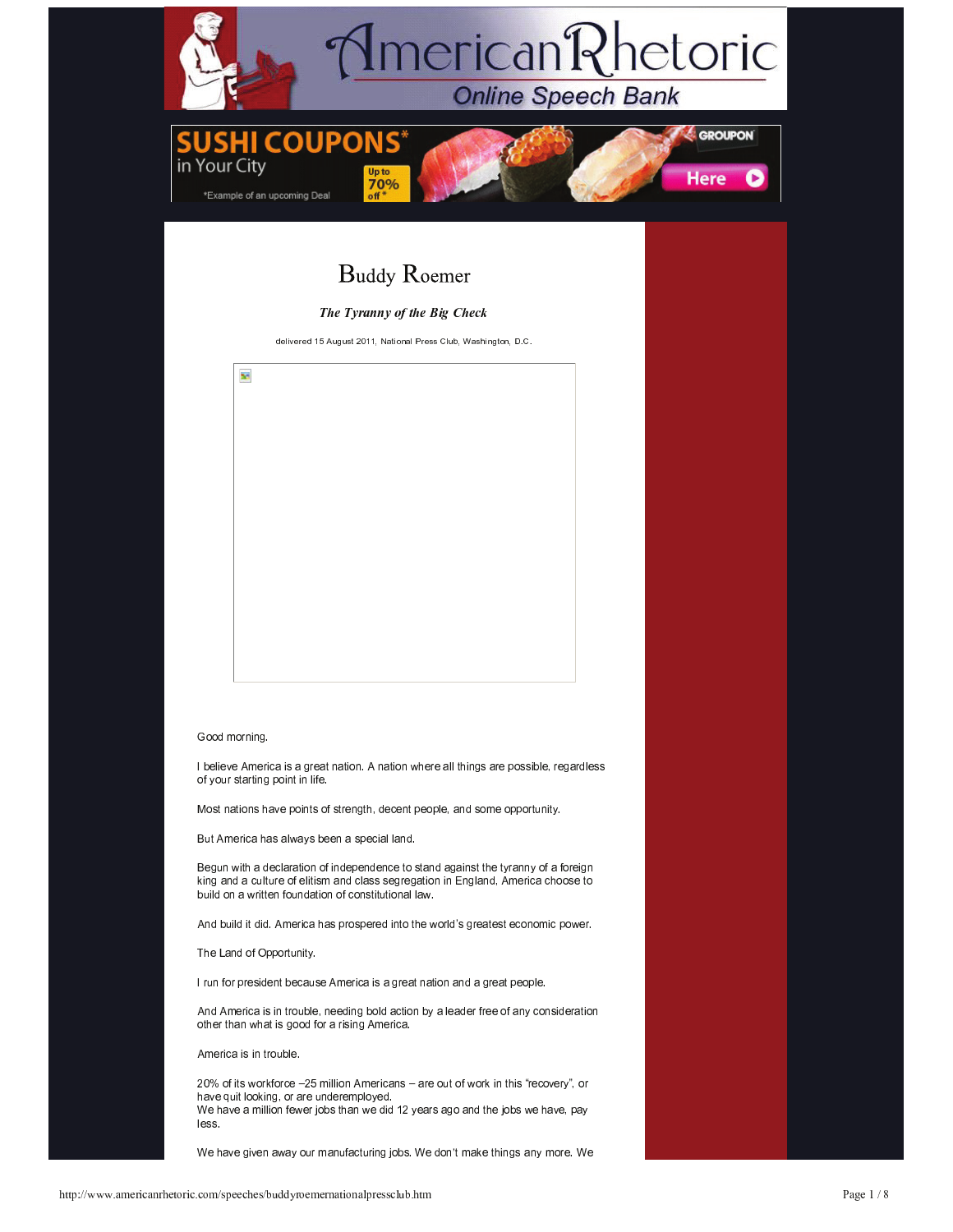

But America has always been a special land.

Begun with a declaration of independence to stand against the tyranny of a foreign king and a culture of elitism and class segregation in England, America choose to build on a written foundation of constitutional law.

And build it did. America has prospered into the world's greatest economic power.

The Land of Opportunity.

I run for president because America is a great nation and a great people.

And America is in trouble, needing bold action by a leader free of any consideration other than what is good for a rising America.

America is in trouble.

20% of its workforce -25 million Americans - are out of work in this "recovery", or have quit looking, or are underemployed. We have a million fewer jobs than we did 12 years ago and the jobs we have, pay less.

We have given away our manufacturing jobs. We don't make things any more. We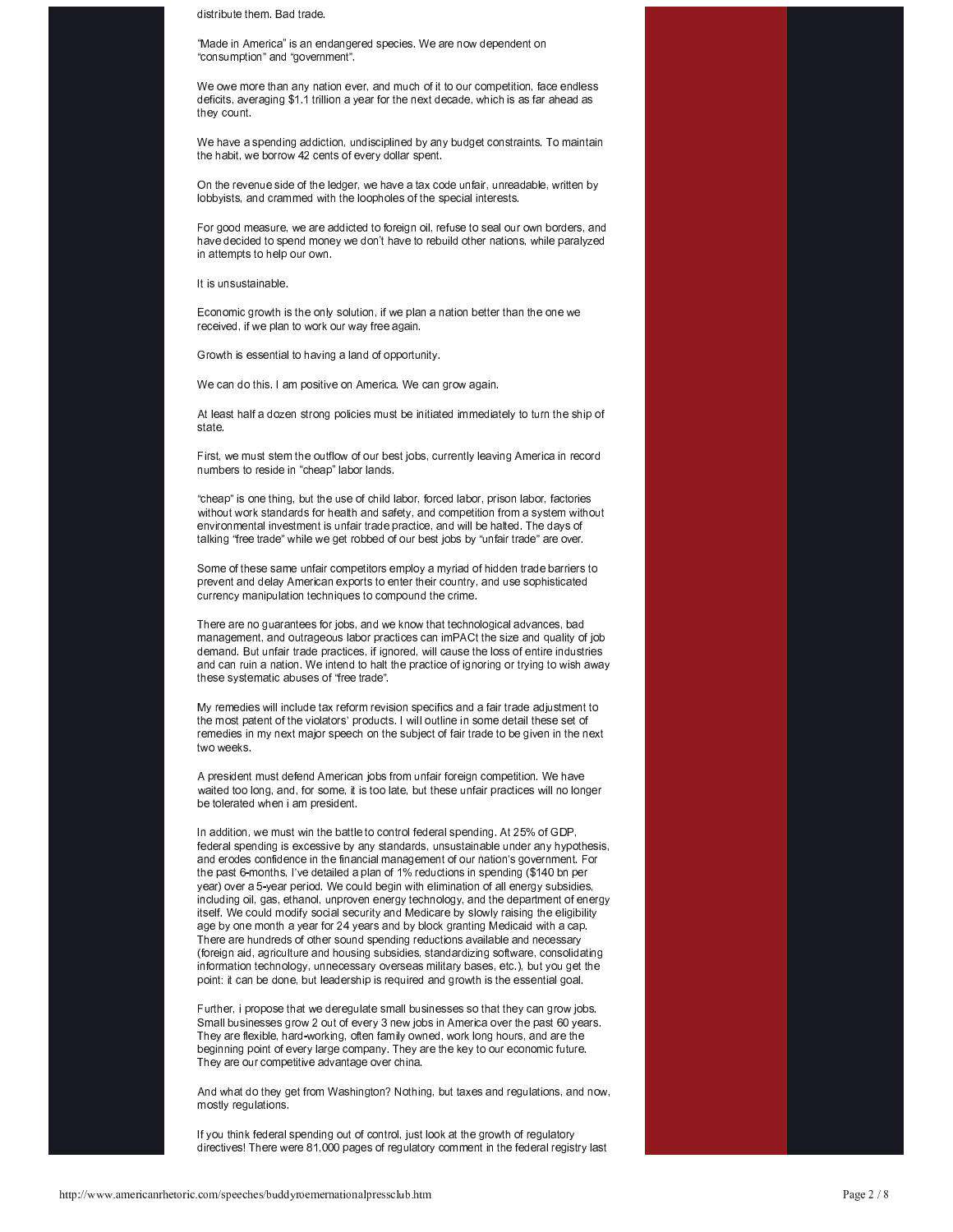distribute them. Bad trade

"Made in America" is an endangered species. We are now dependent on "consumption" and "govemment".

We owe more than any nation ever, and much of it to our competition, face endless deficits, averaging \$1.1 trillion a year for the next decade, which is as far ahead as they count.

We have a spending addiction, undisciplined by any budget constraints. To maintain the habit, we borrow 42 cents of every dollar spent.

On the revenue side of the ledger, we have a tax code unfair, unreadable, written by lobbyists, and crammed with the loopholes of the special interests.

For good measure, we are addicted to foreign oil, refuse to seal our own borders, and have decided to spend money we don't have to rebuild other nations, while paralyzed in attempts to help our own.

It is unsustainable.

Economic growth is the only solution, if we plan a nation better than the one we received, if we plan to work our way free again.

Growth is essential to having a land of opportunity.

We can do this. I am positive on America. We can grow again.

At least half a dozen strong policies must be initiated immediately to turn the ship of state.

First, we must stem the outflow of our best jobs, currently leaving America in record numbers to reside in "cheap" labor lands.

"cheap" is one thing, but the use of child labor, forced labor, prison labor, factories without work standards for health and safety, and competition from a system without environmental investment is unfair trade practice, and will be halted. The days of talking "free trade" while we get robbed of our best jobs by "unfair trade" are over.

Some of these same unfair competitors employ a myriad of hidden trade barriers to prevent and delay American exports to enter their country, and use sophisticated currency manipulation techniques to compound the crime.

There are no guarantees for jobs, and we know that technological advances, bad management, and outrageous labor practices can imPACt the size and quality of job demand. But unfair trade practices, if ignored, will cause the loss of entire industries and can ruin a nation. We intend to halt the practice of ignoring or trying to wish away these systematic abuses of "free trade".

My remedies will include tax reform revision specifics and a fair trade adjustment to the most patent of the violators' products. I will outline in some detail these set of remedies in my next major speech on the subject of fair trade to be given in the next two weeks

A president must defend American jobs from unfair foreign competition. We have waited too long, and, for some, it is too late, but these unfair practices will no longer be tolerated when i am president.

In addition, we must win the battle to control federal spending. At 25% of GDP federal spending is excessive by any standards, unsustainable under any hypothesis, and erodes confidence in the financial management of our nation's government. For the past 6-months, I've detailed a plan of 1% reductions in spending (\$140 bn per year) over a 5-year period. We could begin with elimination of all energy subsidies, including oil, gas, ethanol, unproven energy technology, and the department of energy itself. We could modify social security and Medicare by slowly raising the eligibility age by one month a year for 24 years and by block granting Medicaid with a cap. There are hundreds of other sound spending reductions available and necessary (foreign aid, agriculture and housing subsidies, standardizing software, consolidating information technology, unnecessary overseas military bases, etc.), but you get the point: it can be done, but leadership is required and growth is the essential goal.

Further, i propose that we deregulate small businesses so that they can grow jobs. Small businesses grow 2 out of every 3 new jobs in America over the past 60 years. They are flexible, hard-working, often family owned, work long hours, and are the beginning point of every large company. They are the key to our economic future. They are our competitive advantage over china.

And what do they get from Washington? Nothing, but taxes and regulations, and now, mostly regulations.

If you think federal spending out of control, just look at the growth of regulatory directives! There were 81,000 pages of regulatory comment in the federal registry last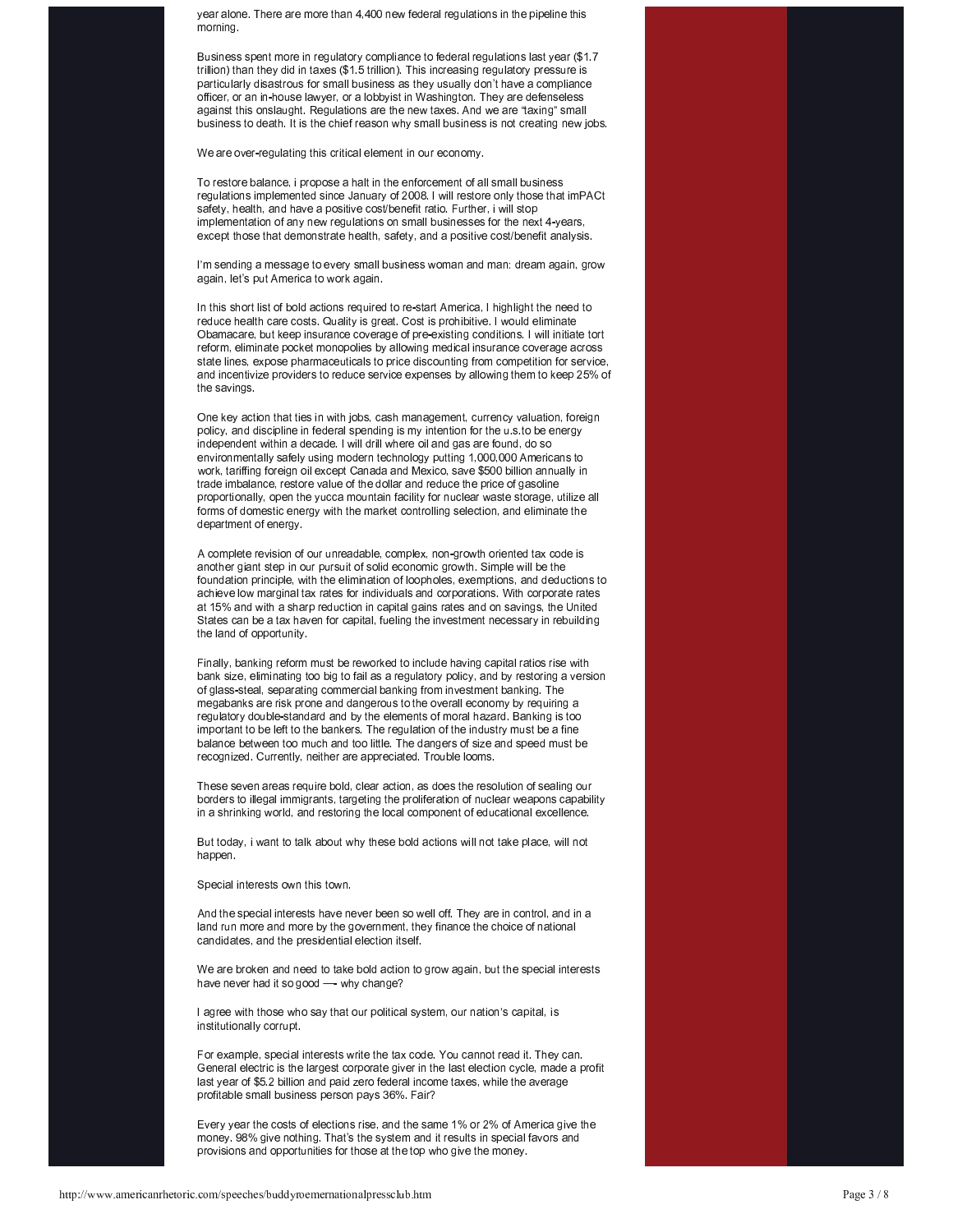year alone. There are more than 4,400 new federal regulations in the pipeline this morning.

Business spent more in regulatory compliance to federal regulations last year (\$1.7 trillion) than they did in taxes (\$1.5 trillion). This increasing regulatory pressure is particularly disastrous for small business as they usually don't have a compliance officer, or an in-house lawyer, or a lobbyist in Washington. They are defenseless against this onslaught. Regulations are the new taxes. And we are "taxing" small business to death. It is the chief reason why small business is not creating new jobs.

We are over-regulating this critical element in our economy.

To restore balance, i propose a halt in the enforcement of all small business regulations implemented since January of 2008. I will restore only those that imPACt safety, health, and have a positive cost/benefit ratio. Further, i will stop implementation of any new regulations on small businesses for the next 4-years, except those that demonstrate health, safety, and a positive cost/benefit analysis.

I'm sending a message to every small business woman and man: dream again, grow again, let's put America to work again.

In this short list of bold actions required to re-start America, I highlight the need to reduce health care costs. Quality is great. Cost is prohibitive. I would eliminate Obamacare, but keep insurance coverage of pre-existing conditions. I will initiate tort reform, eliminate pocket monopolies by allowing medical insurance coverage across state lines, expose pharmaceuticals to price discounting from competition for service, and incentivize providers to reduce service expenses by allowing them to keep 25% of the savings.

One key action that ties in with jobs, cash management, currency valuation, foreign policy, and discipline in federal spending is my intention for the u.s.to be energy independent within a decade. I will drill where oil and gas are found, do so environmentally safely using modern technology putting 1,000,000 Americans to work, tariffing foreign oil except Canada and Mexico, save \$500 billion annually in trade imbalance, restore value of the dollar and reduce the price of gasoline proportionally, open the yucca mountain facility for nuclear waste storage, utilize all forms of domestic energy with the market controlling selection, and eliminate the department of energy.

A complete revision of our unreadable, complex, non-growth oriented tax code is another giant step in our pursuit of solid economic growth. Simple will be the foundation principle, with the elimination of loopholes, exemptions, and deductions to achieve low marginal tax rates for individuals and corporations. With corporate rates at 15% and with a sharp reduction in capital gains rates and on savings, the United States can be a tax haven for capital, fueling the investment necessary in rebuilding the land of opportunity.

Finally, banking reform must be reworked to include having capital ratios rise with bank size, eliminating too big to fail as a regulatory policy, and by restoring a version of glass-steal, separating commercial banking from investment banking. The megabanks are risk prone and dangerous to the overall economy by requiring a regulatory double-standard and by the elements of moral hazard. Banking is too important to be left to the bankers. The regulation of the industry must be a fine balance between too much and too little. The dangers of size and speed must be recognized. Currently, neither are appreciated. Trouble looms.

These seven areas require bold, clear action, as does the resolution of sealing our borders to illegal immigrants, targeting the proliferation of nuclear weapons capability in a shrinking world, and restoring the local component of educational excellence.

But today, i want to talk about why these bold actions will not take place, will not happen.

Special interests own this town.

And the special interests have never been so well off. They are in control, and in a land run more and more by the government, they finance the choice of national candidates, and the presidential election itself.

We are broken and need to take bold action to grow again, but the special interests have never had it so good — why change?

I agree with those who say that our political system, our nation's capital, is institutionally corrupt.

For example, special interests write the tax code. You cannot read it. They can. General electric is the largest corporate giver in the last election cycle, made a profit last year of \$5.2 billion and paid zero federal income taxes, while the average profitable small business person pays 36%. Fair?

Every year the costs of elections rise, and the same 1% or 2% of America give the money. 98% give nothing. That's the system and it results in special favors and provisions and opportunities for those at the top who give the money.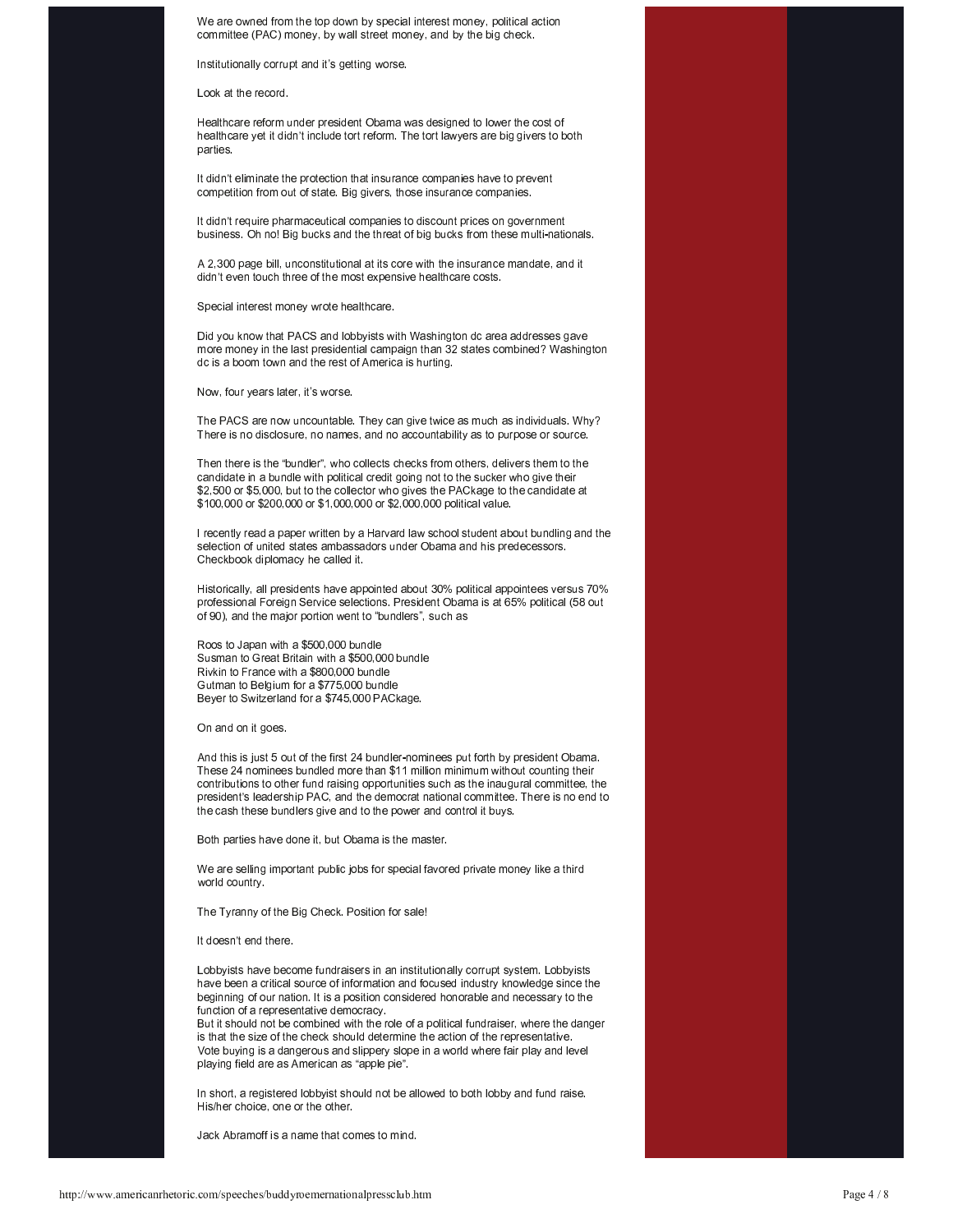We are owned from the top down by special interest money, political action committee (PAC) money, by wall street money, and by the big check.

Institutionally corrupt and it's getting worse.

Look at the record.

Healthcare reform under president Obama was designed to lower the cost of healthcare yet it didn't include tort reform. The tort lawyers are big givers to both parties.

It didn't eliminate the protection that insurance companies have to prevent competition from out of state. Big givers, those insurance companies.

It didn't require pharmaceutical companies to discount prices on government business. Oh no! Big bucks and the threat of big bucks from these multi-nationals.

A 2,300 page bill, unconstitutional at its core with the insurance mandate, and it didn't even touch three of the most expensive healthcare costs.

Special interest money wrote healthcare.

Did you know that PACS and lobbyists with Washington dc area addresses gave more money in the last presidential campaign than 32 states combined? Washington dc is a boom town and the rest of America is hurting.

Now, four years later, it's worse

The PACS are now uncountable. They can give twice as much as individuals. Why? There is no disclosure, no names, and no accountability as to purpose or source.

Then there is the "bundler", who collects checks from others, delivers them to the candidate in a bundle with political credit going not to the sucker who give their \$2,500 or \$5,000, but to the collector who gives the PACkage to the candidate at \$100,000 or \$200,000 or \$1,000,000 or \$2,000,000 political value.

I recently read a paper written by a Harvard law school student about bundling and the selection of united states ambassadors under Obama and his predecessors. Checkbook diplomacy he called it.

Historically, all presidents have appointed about 30% political appointees versus 70% professional Foreign Service selections. President Obama is at 65% political (58 out of 90), and the major portion went to "bundlers", such as

Roos to Japan with a \$500,000 bundle Susman to Great Britain with a \$500,000 bundle Rivkin to France with a \$800,000 bundle Gutman to Belgium for a \$775,000 bundle Beyer to Switzerland for a \$745,000 PACkage.

On and on it goes.

And this is just 5 out of the first 24 bundler-nominees put forth by president Obama. These 24 nominees bundled more than \$11 million minimum without counting their contributions to other fund raising opportunities such as the inaugural committee, the president's leadership PAC, and the democrat national committee. There is no end to the cash these bundlers give and to the power and control it buys.

Both parties have done it, but Obama is the master.

We are selling important public jobs for special favored private money like a third world country.

The Tyranny of the Big Check. Position for sale!

It doesn't end there.

Lobbvists have become fundraisers in an institutionally corrupt system. Lobbyists have been a critical source of information and focused industry knowledge since the beginning of our nation. It is a position considered honorable and necessary to the function of a representative democracy.

But it should not be combined with the role of a political fundraiser, where the danger is that the size of the check should determine the action of the representative. Vote buying is a dangerous and slippery slope in a world where fair play and level playing field are as American as "apple pie".

In short, a registered lobbyist should not be allowed to both lobby and fund raise His/her choice, one or the other.

Jack Abramoff is a name that comes to mind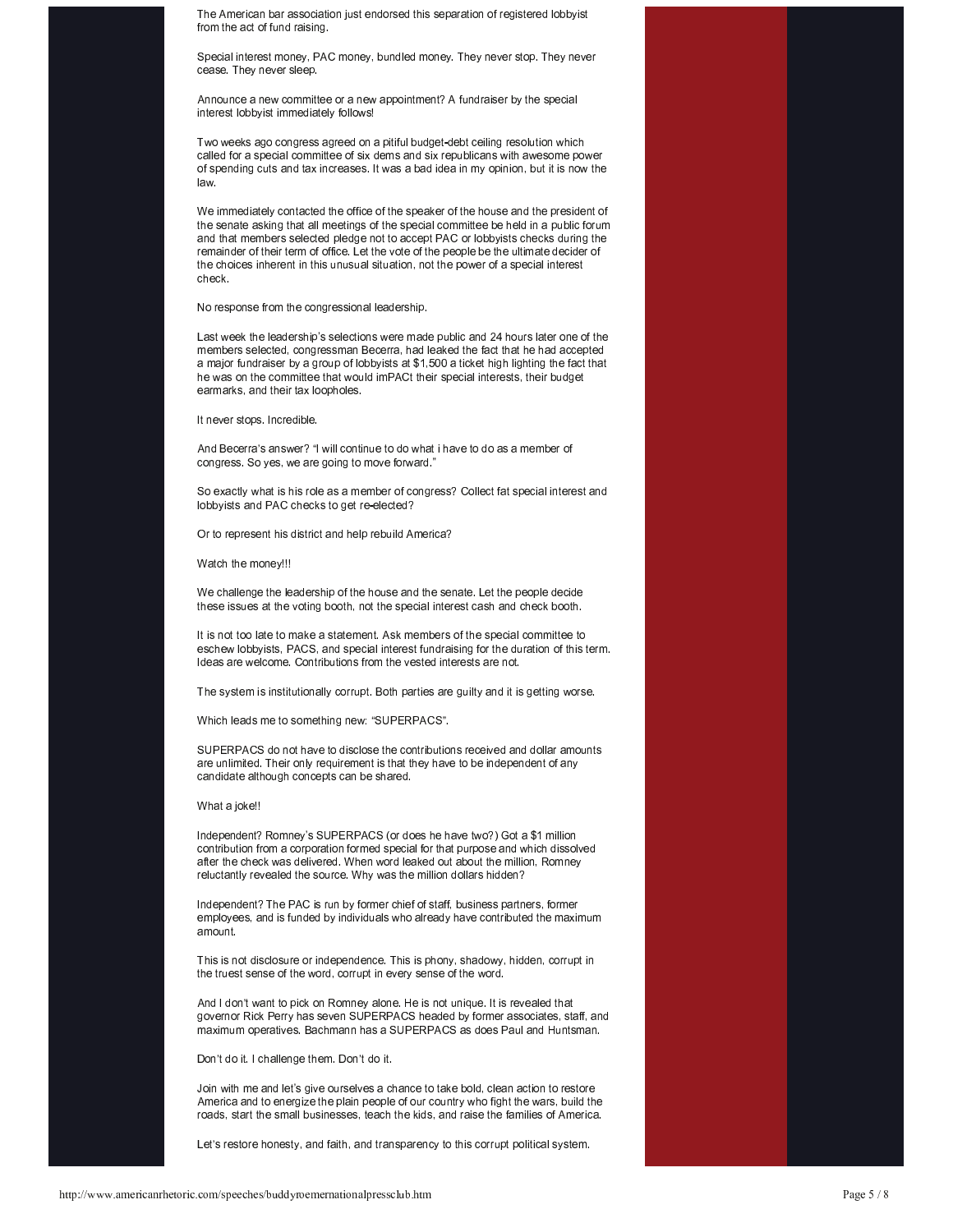The American bar association just endorsed this separation of registered lobbyist from the act of fund raising.

Special interest money, PAC money, bundled money. They never stop. They never cease. They never sleep.

Announce a new committee or a new appointment? A fundraiser by the special interest lobbyist immediately follows!

Two weeks ago congress agreed on a pitiful budget-debt ceiling resolution which called for a special committee of six dems and six republicans with awesome power of spending cuts and tax increases. It was a bad idea in my opinion, but it is now the law

We immediately contacted the office of the speaker of the house and the president of the senate asking that all meetings of the special committee be held in a public forum and that members selected pledge not to accept PAC or lobbyists checks during the remainder of their term of office. Let the vote of the people be the ultimate decider of the choices inherent in this unusual situation, not the power of a special interest check

No response from the congressional leadership.

Last week the leadership's selections were made public and 24 hours later one of the members selected, congressman Becerra, had leaked the fact that he had accepted a major fundraiser by a group of lobbyists at \$1,500 a ticket high lighting the fact that he was on the committee that would imPACt their special interests, their budget earmarks, and their tax loopholes.

It never stops. Incredible.

And Becerra's answer? "I will continue to do what i have to do as a member of congress. So yes, we are going to move forward."

So exactly what is his role as a member of congress? Collect fat special interest and lobbyists and PAC checks to get re-elected?

Or to represent his district and help rebuild America?

Watch the money!!!

We challenge the leadership of the house and the senate. Let the people decide these issues at the voting booth, not the special interest cash and check booth.

It is not too late to make a statement. Ask members of the special committee to eschew lobbyists, PACS, and special interest fundraising for the duration of this term. Ideas are welcome. Contributions from the vested interests are not.

The system is institutionally corrupt. Both parties are guilty and it is getting worse.

Which leads me to something new: "SUPERPACS".

SUPERPACS do not have to disclose the contributions received and dollar amounts are unlimited. Their only requirement is that they have to be independent of any candidate although concepts can be shared.

## What a joke!!

Independent? Romney's SUPERPACS (or does he have two?) Got a \$1 million contribution from a corporation formed special for that purpose and which dissolved after the check was delivered. When word leaked out about the million, Romney reluctantly revealed the source. Why was the million dollars hidden?

Independent? The PAC is run by former chief of staff, business partners, former employees, and is funded by individuals who already have contributed the maximum amount.

This is not disclosure or independence. This is phony, shadowy, hidden, corrupt in the truest sense of the word, corrupt in every sense of the word.

And I don't want to pick on Romney alone. He is not unique. It is revealed that governor Rick Perry has seven SUPERPACS headed by former associates, staff, and maximum operatives. Bachmann has a SUPERPACS as does Paul and Huntsman.

Don't do it. I challenge them. Don't do it.

Join with me and let's give ourselves a chance to take bold, clean action to restore America and to energize the plain people of our country who fight the wars, build the roads, start the small businesses, teach the kids, and raise the families of America.

Let's restore honesty, and faith, and transparency to this corrupt political system.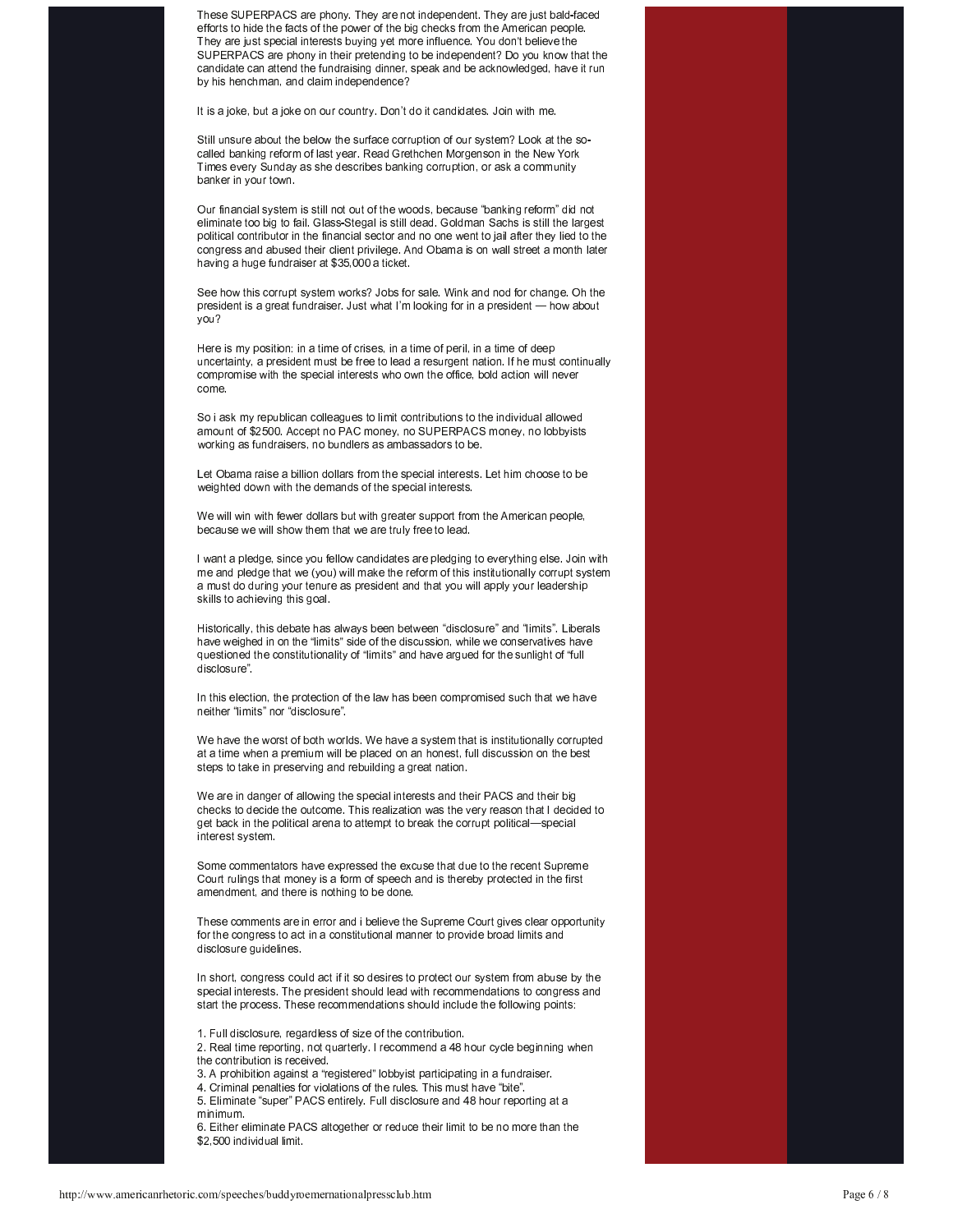These SUPERPACS are phony. They are not independent. They are just bald-faced efforts to hide the facts of the power of the big checks from the American people. They are just special interests buying yet more influence. You don't believe the SUPERPACS are phony in their pretending to be independent? Do you know that the candidate can attend the fundraising dinner, speak and be acknowledged, have it run by his henchman, and claim independence?

It is a joke, but a joke on our country. Don't do it candidates. Join with me.

Still unsure about the below the surface corruption of our system? Look at the socalled banking reform of last year. Read Grethchen Morgenson in the New York Times every Sunday as she describes banking corruption, or ask a community banker in your town.

Our financial system is still not out of the woods, because "banking reform" did not eliminate too big to fail. Glass-Stegal is still dead. Goldman Sachs is still the largest political contributor in the financial sector and no one went to jail after they lied to the congress and abused their client privilege. And Obama is on wall street a month later having a huge fundraiser at \$35,000 a ticket.

See how this corrupt system works? Jobs for sale. Wink and nod for change. Oh the president is a great fundraiser. Just what I'm looking for in a president - how about vou?

Here is my position: in a time of crises, in a time of peril, in a time of deep uncertainty, a president must be free to lead a resurgent nation. If he must continually compromise with the special interests who own the office, bold action will never come.

So i ask my republican colleagues to limit contributions to the individual allowed amount of \$2500. Accept no PAC money, no SUPERPACS money, no lobbyists working as fundraisers, no bundlers as ambassadors to be.

Let Obama raise a billion dollars from the special interests. Let him choose to be weighted down with the demands of the special interests.

We will win with fewer dollars but with greater support from the American people, because we will show them that we are truly free to lead.

I want a pledge, since you fellow candidates are pledging to everything else. Join with me and pledge that we (you) will make the reform of this institutionally corrupt system a must do during your tenure as president and that you will apply your leadership skills to achieving this goal.

Historically, this debate has always been between "disclosure" and "limits". Liberals have weighed in on the "limits" side of the discussion, while we conservatives have questioned the constitutionality of "limits" and have argued for the sunlight of "full disclosure".

In this election, the protection of the law has been compromised such that we have neither "limits" nor "disclosure".

We have the worst of both worlds. We have a system that is institutionally corrupted at a time when a premium will be placed on an honest, full discussion on the best steps to take in preserving and rebuilding a great nation.

We are in danger of allowing the special interests and their PACS and their big checks to decide the outcome. This realization was the very reason that I decided to get back in the political arena to attempt to break the corrupt political-special interest system

Some commentators have expressed the excuse that due to the recent Supreme Court rulings that money is a form of speech and is thereby protected in the first amendment, and there is nothing to be done

These comments are in error and i believe the Supreme Court gives clear opportunity for the congress to act in a constitutional manner to provide broad limits and disclosure guidelines.

In short, congress could act if it so desires to protect our system from abuse by the special interests. The president should lead with recommendations to congress and start the process. These recommendations should include the following points:

1. Full disclosure, regardless of size of the contribution.

2. Real time reporting, not quarterly. I recommend a 48 hour cycle beginning when the contribution is received.

- 3. A prohibition against a "registered" lobbyist participating in a fundraiser.
- 4. Criminal penalties for violations of the rules. This must have "bite"

5. Eliminate "super" PACS entirely. Full disclosure and 48 hour reporting at a minimum.

6. Either eliminate PACS altogether or reduce their limit to be no more than the \$2,500 individual limit.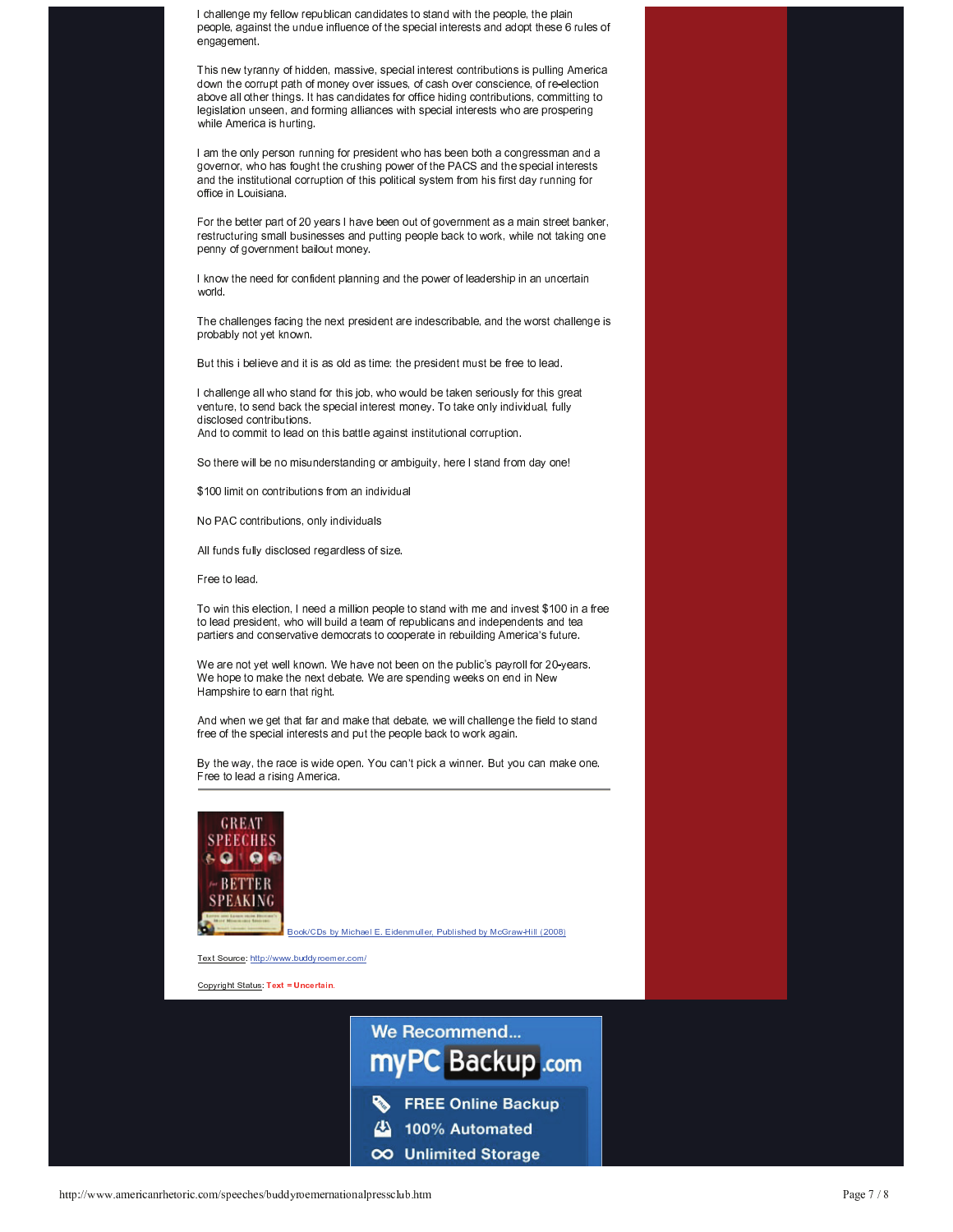I challenge my fellow republican candidates to stand with the people, the plain people, against the undue influence of the special interests and adopt these 6 rules of engagement.

This new tyranny of hidden, massive, special interest contributions is pulling America down the corrupt path of money over issues, of cash over conscience, of re-election above all other things. It has candidates for office hiding contributions, committing to legislation unseen, and forming alliances with special interests who are prospering while America is hurting.

I am the only person running for president who has been both a congressman and a governor, who has fought the crushing power of the PACS and the special interests and the institutional corruption of this political system from his first day running for office in Louisiana.

For the better part of 20 years I have been out of government as a main street banker, restructuring small businesses and putting people back to work, while not taking one penny of government bailout money.

I know the need for confident planning and the power of leadership in an uncertain world.

The challenges facing the next president are indescribable, and the worst challenge is probably not yet known.

But this i believe and it is as old as time: the president must be free to lead.

I challenge all who stand for this job, who would be taken seriously for this great venture, to send back the special interest money. To take only individual, fully disclosed contributions. And to commit to lead on this battle against institutional corruption.

So there will be no misunderstanding or ambiguity, here I stand from day one!

\$100 limit on contributions from an individual

No PAC contributions, only individuals

All funds fully disclosed regardless of size.

Free to lead.

To win this election, I need a million people to stand with me and invest \$100 in a free to lead president, who will build a team of republicans and independents and tea partiers and conservative democrats to cooperate in rebuilding America's future.

We are not yet well known. We have not been on the public's payroll for 20-years. We hope to make the next debate. We are spending weeks on end in New Hampshire to earn that right.

And when we get that far and make that debate, we will challenge the field to stand free of the special interests and put the people back to work again.

By the way, the race is wide open. You can't pick a winner. But you can make one. Free to lead a rising America.



Book/CDs by Michael E. Eidenmuller, Published by McGraw-Hill (2008)

Text Source: http://www.buddyroemer.com/

Copyright Status: Text = Uncertain.

We Recommend... myPC Backup .com **FREE Online Backup** 100% Automated Δ OO Unlimited Storage